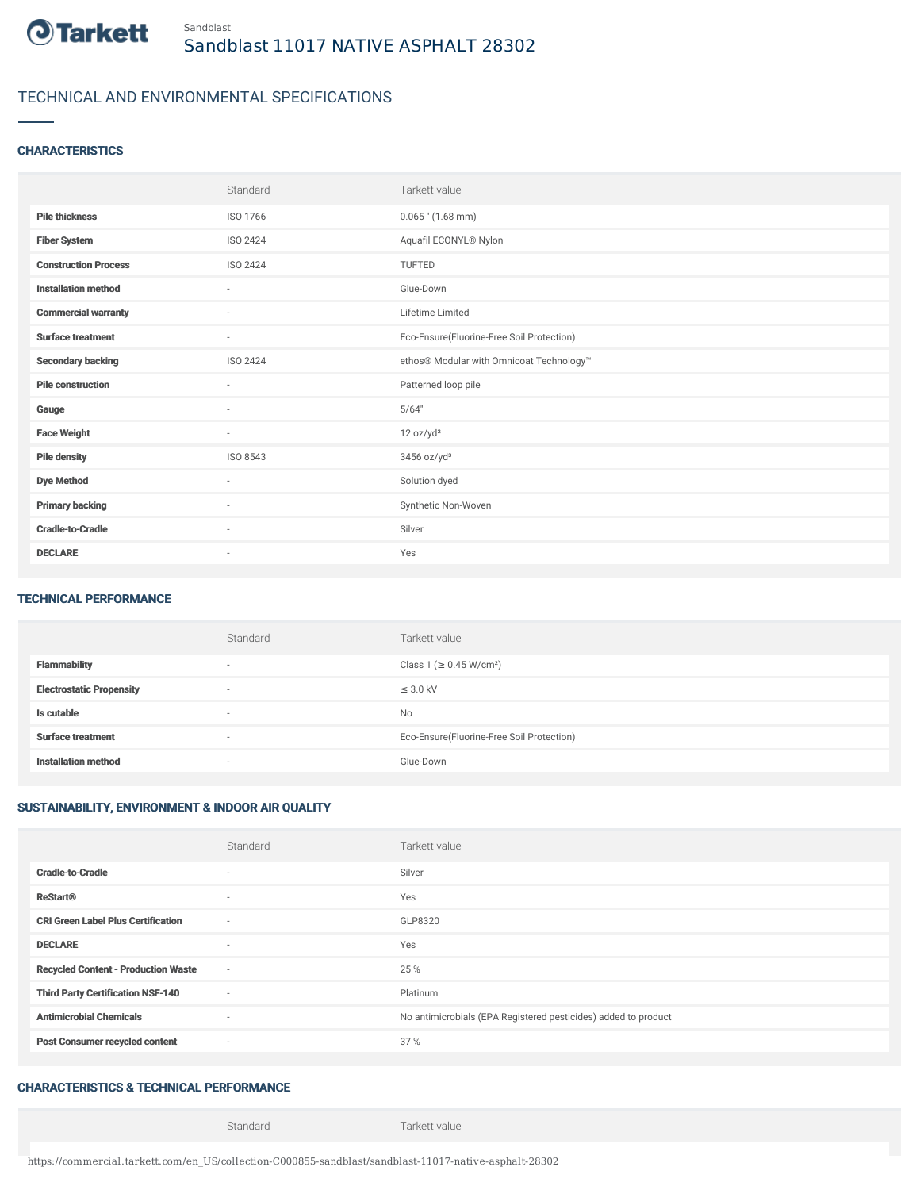

# TECHNICAL AND ENVIRONMENTAL SPECIFICATIONS

#### **CHARACTERISTICS**

|                             | Standard                 | Tarkett value                             |
|-----------------------------|--------------------------|-------------------------------------------|
| <b>Pile thickness</b>       | ISO 1766                 | $0.065$ " (1.68 mm)                       |
| <b>Fiber System</b>         | ISO 2424                 | Aquafil ECONYL® Nylon                     |
| <b>Construction Process</b> | ISO 2424                 | <b>TUFTED</b>                             |
| <b>Installation method</b>  | ٠                        | Glue-Down                                 |
| <b>Commercial warranty</b>  | $\sim$                   | Lifetime Limited                          |
| <b>Surface treatment</b>    | $\sim$                   | Eco-Ensure(Fluorine-Free Soil Protection) |
| <b>Secondary backing</b>    | ISO 2424                 | ethos® Modular with Omnicoat Technology™  |
| <b>Pile construction</b>    | $\sim$                   | Patterned loop pile                       |
| Gauge                       | $\sim$                   | 5/64"                                     |
| <b>Face Weight</b>          | $\sim$                   | 12 oz/yd <sup>2</sup>                     |
| <b>Pile density</b>         | ISO 8543                 | 3456 oz/yd <sup>3</sup>                   |
| <b>Dye Method</b>           | $\sim$                   | Solution dyed                             |
| <b>Primary backing</b>      | ×                        | Synthetic Non-Woven                       |
| <b>Cradle-to-Cradle</b>     | $\sim$                   | Silver                                    |
| <b>DECLARE</b>              | $\overline{\phantom{a}}$ | Yes                                       |

#### TECHNICAL PERFORMANCE

|                                 | Standard                 | Tarkett value                             |
|---------------------------------|--------------------------|-------------------------------------------|
| <b>Flammability</b>             | $\overline{\phantom{a}}$ | Class 1 (≥ 0.45 W/cm <sup>2</sup> )       |
| <b>Electrostatic Propensity</b> | ۰                        | $\leq$ 3.0 kV                             |
| Is cutable                      | $\overline{\phantom{a}}$ | <b>No</b>                                 |
| <b>Surface treatment</b>        | ۰                        | Eco-Ensure(Fluorine-Free Soil Protection) |
| <b>Installation method</b>      | ۰                        | Glue-Down                                 |

### SUSTAINABILITY, ENVIRONMENT & INDOOR AIR QUALITY

|                                            | Standard                 | Tarkett value                                                  |
|--------------------------------------------|--------------------------|----------------------------------------------------------------|
| <b>Cradle-to-Cradle</b>                    | ٠                        | Silver                                                         |
| <b>ReStart®</b>                            | $\sim$                   | Yes                                                            |
| <b>CRI Green Label Plus Certification</b>  | $\sim$                   | GLP8320                                                        |
| <b>DECLARE</b>                             | $\sim$                   | Yes                                                            |
| <b>Recycled Content - Production Waste</b> | $\sim$                   | 25 %                                                           |
| <b>Third Party Certification NSF-140</b>   | $\sim$                   | Platinum                                                       |
| <b>Antimicrobial Chemicals</b>             | $\overline{\phantom{a}}$ | No antimicrobials (EPA Registered pesticides) added to product |
| <b>Post Consumer recycled content</b>      | $\sim$                   | 37 %                                                           |

### CHARACTERISTICS & TECHNICAL PERFORMANCE

Standard Tarkett value